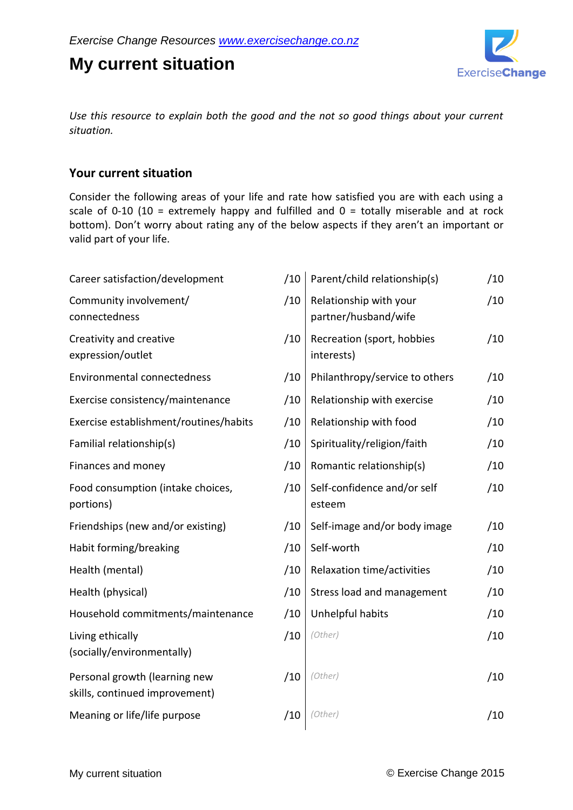**My current situation**



*Use this resource to explain both the good and the not so good things about your current situation.*

## **Your current situation**

Consider the following areas of your life and rate how satisfied you are with each using a scale of 0-10 (10 = extremely happy and fulfilled and  $0 =$  totally miserable and at rock bottom). Don't worry about rating any of the below aspects if they aren't an important or valid part of your life.

| /10 | Parent/child relationship(s)                   | /10 |
|-----|------------------------------------------------|-----|
| /10 | Relationship with your<br>partner/husband/wife | /10 |
| /10 | Recreation (sport, hobbies<br>interests)       | /10 |
| /10 | Philanthropy/service to others                 | /10 |
| /10 | Relationship with exercise                     | /10 |
| /10 | Relationship with food                         | /10 |
| /10 | Spirituality/religion/faith                    | /10 |
| /10 | Romantic relationship(s)                       | /10 |
| /10 | Self-confidence and/or self<br>esteem          | /10 |
| /10 | Self-image and/or body image                   | /10 |
| /10 | Self-worth                                     | /10 |
| /10 | Relaxation time/activities                     | /10 |
| /10 | Stress load and management                     | /10 |
| /10 | Unhelpful habits                               | /10 |
| /10 | (Other)                                        | /10 |
| /10 | (Other)                                        | /10 |
| /10 | (Other)                                        | /10 |
|     |                                                |     |